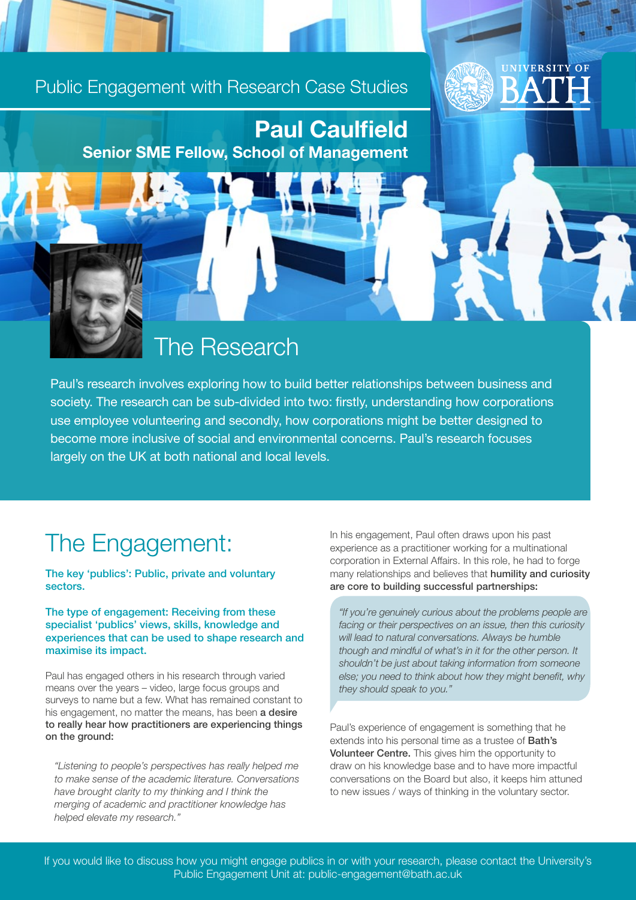#### Public Engagement with Research Case Studies

Paul Caulfield Senior SME Fellow, School of Management

#### The Research

Paul's research involves exploring how to build better relationships between business and society. The research can be sub-divided into two: firstly, understanding how corporations use employee volunteering and secondly, how corporations might be better designed to become more inclusive of social and environmental concerns. Paul's research focuses largely on the UK at both national and local levels.

#### The Engagement:

The key 'publics': Public, private and voluntary sectors.

The type of engagement: Receiving from these specialist 'publics' views, skills, knowledge and experiences that can be used to shape research and maximise its impact.

Paul has engaged others in his research through varied means over the years – video, large focus groups and surveys to name but a few. What has remained constant to his engagement, no matter the means, has been a desire to really hear how practitioners are experiencing things on the ground:

*"Listening to people's perspectives has really helped me to make sense of the academic literature. Conversations have brought clarity to my thinking and I think the merging of academic and practitioner knowledge has helped elevate my research."* 

In his engagement, Paul often draws upon his past experience as a practitioner working for a multinational corporation in External Affairs. In this role, he had to forge many relationships and believes that **humility and curiosity** are core to building successful partnerships:

**IIVERSITY OF** 

*"If you're genuinely curious about the problems people are facing or their perspectives on an issue, then this curiosity will lead to natural conversations. Always be humble though and mindful of what's in it for the other person. It shouldn't be just about taking information from someone else; you need to think about how they might benefit, why they should speak to you."*

Paul's experience of engagement is something that he extends into his personal time as a trustee of Bath's Volunteer Centre. This gives him the opportunity to draw on his knowledge base and to have more impactful conversations on the Board but also, it keeps him attuned to new issues / ways of thinking in the voluntary sector.

If you would like to discuss how you might engage publics in or with your research, please contact the University's Public Engagement Unit at: public-engagement@bath.ac.uk